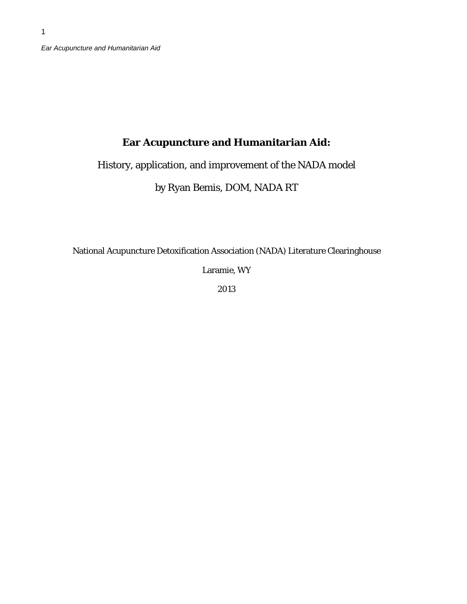1

# **Ear Acupuncture and Humanitarian Aid:**

History, application, and improvement of the NADA model

by Ryan Bemis, DOM, NADA RT

National Acupuncture Detoxification Association (NADA) Literature Clearinghouse

Laramie, WY

2013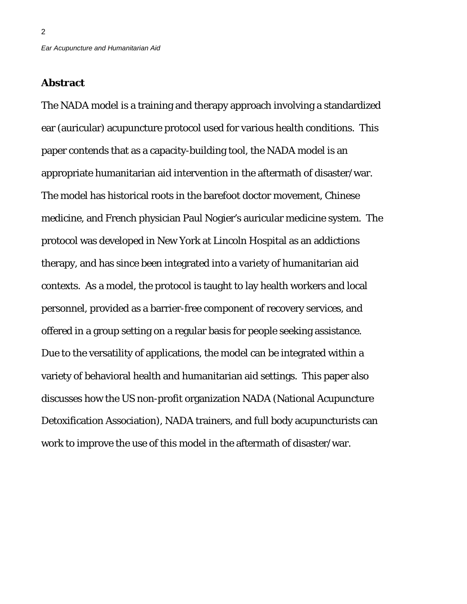### **Abstract**

2

The NADA model is a training and therapy approach involving a standardized ear (auricular) acupuncture protocol used for various health conditions. This paper contends that as a capacity-building tool, the NADA model is an appropriate humanitarian aid intervention in the aftermath of disaster/war. The model has historical roots in the barefoot doctor movement, Chinese medicine, and French physician Paul Nogier's auricular medicine system. The protocol was developed in New York at Lincoln Hospital as an addictions therapy, and has since been integrated into a variety of humanitarian aid contexts. As a model, the protocol is taught to lay health workers and local personnel, provided as a barrier-free component of recovery services, and offered in a group setting on a regular basis for people seeking assistance. Due to the versatility of applications, the model can be integrated within a variety of behavioral health and humanitarian aid settings. This paper also discusses how the US non-profit organization NADA (National Acupuncture Detoxification Association), NADA trainers, and full body acupuncturists can work to improve the use of this model in the aftermath of disaster/war.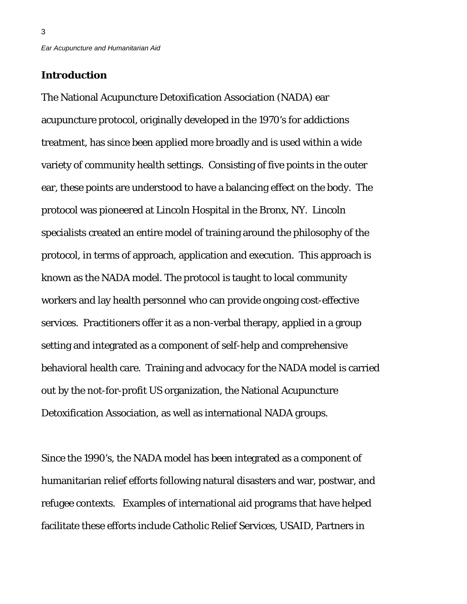## **Introduction**

3

The National Acupuncture Detoxification Association (NADA) ear acupuncture protocol, originally developed in the 1970's for addictions treatment, has since been applied more broadly and is used within a wide variety of community health settings. Consisting of five points in the outer ear, these points are understood to have a balancing effect on the body. The protocol was pioneered at Lincoln Hospital in the Bronx, NY. Lincoln specialists created an entire model of training around the philosophy of the protocol, in terms of approach, application and execution. This approach is known as the NADA model. The protocol is taught to local community workers and lay health personnel who can provide ongoing cost-effective services. Practitioners offer it as a non-verbal therapy, applied in a group setting and integrated as a component of self-help and comprehensive behavioral health care. Training and advocacy for the NADA model is carried out by the not-for-profit US organization, the National Acupuncture Detoxification Association, as well as international NADA groups.

Since the 1990's, the NADA model has been integrated as a component of humanitarian relief efforts following natural disasters and war, postwar, and refugee contexts. Examples of international aid programs that have helped facilitate these efforts include Catholic Relief Services, USAID, Partners in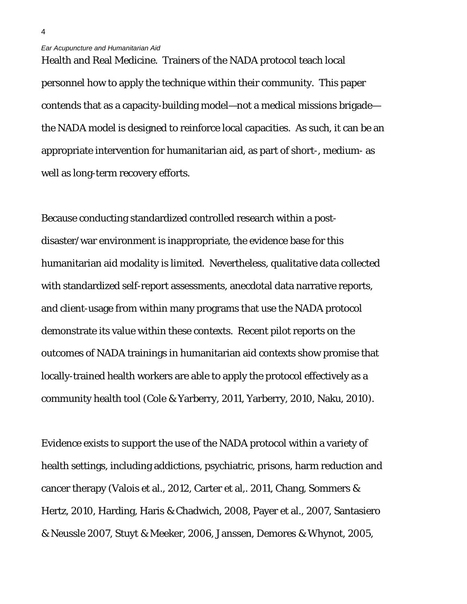Health and Real Medicine. Trainers of the NADA protocol teach local personnel how to apply the technique within their community. This paper contends that as a capacity-building model—not a medical missions brigade the NADA model is designed to reinforce local capacities. As such, it can be an appropriate intervention for humanitarian aid, as part of short-, medium- as well as long-term recovery efforts.

Because conducting standardized controlled research within a postdisaster/war environment is inappropriate, the evidence base for this humanitarian aid modality is limited. Nevertheless, qualitative data collected with standardized self-report assessments, anecdotal data narrative reports, and client-usage from within many programs that use the NADA protocol demonstrate its value within these contexts. Recent pilot reports on the outcomes of NADA trainings in humanitarian aid contexts show promise that locally-trained health workers are able to apply the protocol effectively as a community health tool (Cole & Yarberry, 2011, Yarberry, 2010, Naku, 2010).

Evidence exists to support the use of the NADA protocol within a variety of health settings, including addictions, psychiatric, prisons, harm reduction and cancer therapy (Valois et al., 2012, Carter et al,. 2011, Chang, Sommers & Hertz, 2010, Harding, Haris & Chadwich, 2008, Payer et al., 2007, Santasiero & Neussle 2007, Stuyt & Meeker, 2006, Janssen, Demores & Whynot, 2005,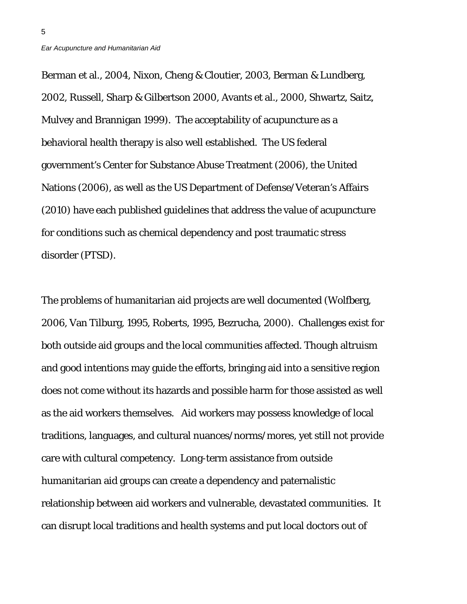Berman et al., 2004, Nixon, Cheng & Cloutier, 2003, Berman & Lundberg, 2002, Russell, Sharp & Gilbertson 2000, Avants et al., 2000, Shwartz, Saitz, Mulvey and Brannigan 1999). The acceptability of acupuncture as a behavioral health therapy is also well established. The US federal government's Center for Substance Abuse Treatment (2006), the United Nations (2006), as well as the US Department of Defense/Veteran's Affairs (2010) have each published guidelines that address the value of acupuncture for conditions such as chemical dependency and post traumatic stress disorder (PTSD).

The problems of humanitarian aid projects are well documented (Wolfberg, 2006, Van Tilburg, 1995, Roberts, 1995, Bezrucha, 2000). Challenges exist for both outside aid groups and the local communities affected. Though altruism and good intentions may guide the efforts, bringing aid into a sensitive region does not come without its hazards and possible harm for those assisted as well as the aid workers themselves. Aid workers may possess knowledge of local traditions, languages, and cultural nuances/norms/mores, yet still not provide care with cultural competency. Long-term assistance from outside humanitarian aid groups can create a dependency and paternalistic relationship between aid workers and vulnerable, devastated communities. It can disrupt local traditions and health systems and put local doctors out of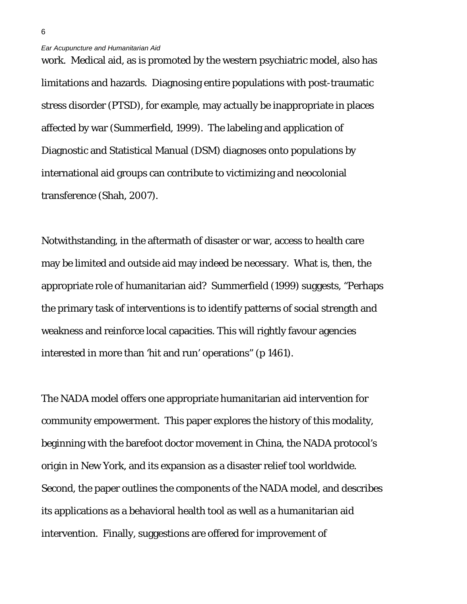work. Medical aid, as is promoted by the western psychiatric model, also has limitations and hazards. Diagnosing entire populations with post-traumatic stress disorder (PTSD), for example, may actually be inappropriate in places affected by war (Summerfield, 1999). The labeling and application of Diagnostic and Statistical Manual (DSM) diagnoses onto populations by international aid groups can contribute to victimizing and neocolonial transference (Shah, 2007).

Notwithstanding, in the aftermath of disaster or war, access to health care may be limited and outside aid may indeed be necessary. What is, then, the appropriate role of humanitarian aid? Summerfield (1999) suggests, "Perhaps the primary task of interventions is to identify patterns of social strength and weakness and reinforce local capacities. This will rightly favour agencies interested in more than 'hit and run' operations" (p 1461).

The NADA model offers one appropriate humanitarian aid intervention for community empowerment. This paper explores the history of this modality, beginning with the barefoot doctor movement in China, the NADA protocol's origin in New York, and its expansion as a disaster relief tool worldwide. Second, the paper outlines the components of the NADA model, and describes its applications as a behavioral health tool as well as a humanitarian aid intervention. Finally, suggestions are offered for improvement of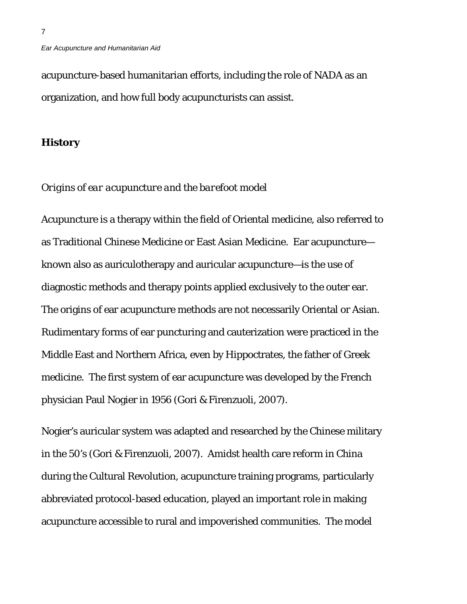acupuncture-based humanitarian efforts, including the role of NADA as an organization, and how full body acupuncturists can assist.

### **History**

### *Origins of ear acupuncture and the barefoot model*

Acupuncture is a therapy within the field of Oriental medicine, also referred to as Traditional Chinese Medicine or East Asian Medicine. Ear acupuncture known also as auriculotherapy and auricular acupuncture—is the use of diagnostic methods and therapy points applied exclusively to the outer ear. The origins of ear acupuncture methods are not necessarily Oriental or Asian. Rudimentary forms of ear puncturing and cauterization were practiced in the Middle East and Northern Africa, even by Hippoctrates, the father of Greek medicine. The first system of ear acupuncture was developed by the French physician Paul Nogier in 1956 (Gori & Firenzuoli, 2007).

Nogier's auricular system was adapted and researched by the Chinese military in the 50's (Gori & Firenzuoli, 2007). Amidst health care reform in China during the Cultural Revolution, acupuncture training programs, particularly abbreviated protocol-based education, played an important role in making acupuncture accessible to rural and impoverished communities. The model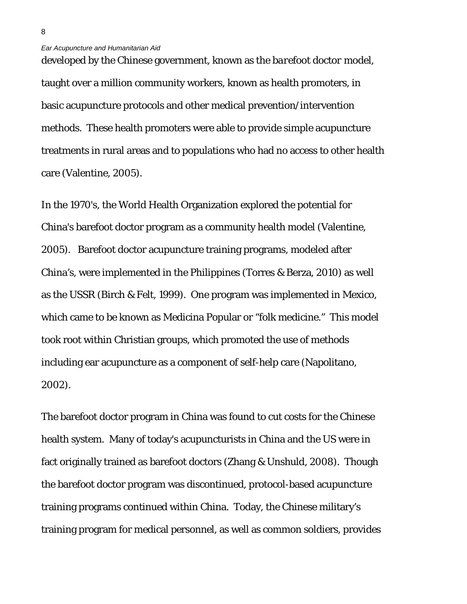developed by the Chinese government, known as the *barefoot doctor* model, taught over a million community workers, known as health promoters, in basic acupuncture protocols and other medical prevention/intervention methods. These health promoters were able to provide simple acupuncture treatments in rural areas and to populations who had no access to other health care (Valentine, 2005).

In the 1970's, the World Health Organization explored the potential for China's barefoot doctor program as a community health model (Valentine, 2005). Barefoot doctor acupuncture training programs, modeled after China's, were implemented in the Philippines (Torres & Berza, 2010) as well as the USSR (Birch & Felt, 1999). One program was implemented in Mexico, which came to be known as Medicina Popular or "folk medicine." This model took root within Christian groups, which promoted the use of methods including ear acupuncture as a component of self-help care (Napolitano, 2002).

The barefoot doctor program in China was found to cut costs for the Chinese health system. Many of today's acupuncturists in China and the US were in fact originally trained as barefoot doctors (Zhang & Unshuld, 2008). Though the barefoot doctor program was discontinued, protocol-based acupuncture training programs continued within China. Today, the Chinese military's training program for medical personnel, as well as common soldiers, provides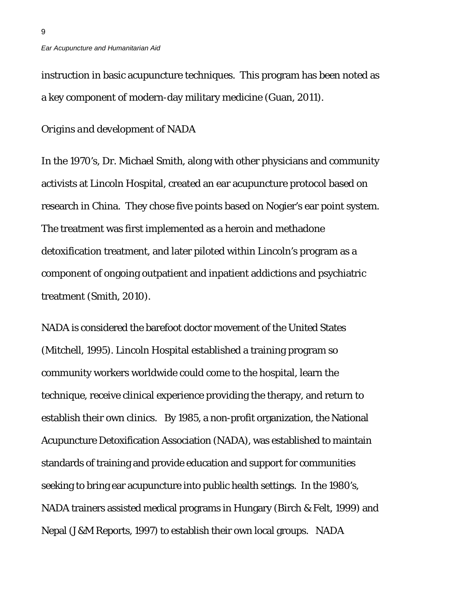instruction in basic acupuncture techniques. This program has been noted as a key component of modern-day military medicine (Guan, 2011).

### *Origins and development of NADA*

In the 1970's, Dr. Michael Smith, along with other physicians and community activists at Lincoln Hospital, created an ear acupuncture protocol based on research in China. They chose five points based on Nogier's ear point system. The treatment was first implemented as a heroin and methadone detoxification treatment, and later piloted within Lincoln's program as a component of ongoing outpatient and inpatient addictions and psychiatric treatment (Smith, 2010).

NADA is considered the barefoot doctor movement of the United States (Mitchell, 1995). Lincoln Hospital established a training program so community workers worldwide could come to the hospital, learn the technique, receive clinical experience providing the therapy, and return to establish their own clinics. By 1985, a non-profit organization, the National Acupuncture Detoxification Association (NADA), was established to maintain standards of training and provide education and support for communities seeking to bring ear acupuncture into public health settings. In the 1980's, NADA trainers assisted medical programs in Hungary (Birch & Felt, 1999) and Nepal (J&M Reports, 1997) to establish their own local groups. NADA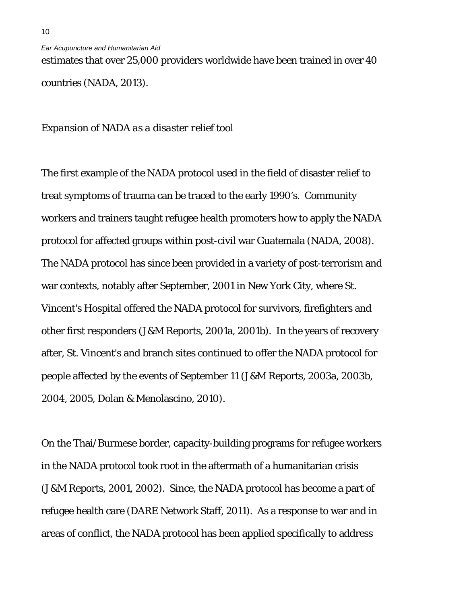estimates that over 25,000 providers worldwide have been trained in over 40 countries (NADA, 2013).

### *Expansion of NADA as a disaster relief tool*

The first example of the NADA protocol used in the field of disaster relief to treat symptoms of trauma can be traced to the early 1990's. Community workers and trainers taught refugee health promoters how to apply the NADA protocol for affected groups within post-civil war Guatemala (NADA, 2008). The NADA protocol has since been provided in a variety of post-terrorism and war contexts, notably after September, 2001 in New York City, where St. Vincent's Hospital offered the NADA protocol for survivors, firefighters and other first responders (J&M Reports, 2001a, 2001b). In the years of recovery after, St. Vincent's and branch sites continued to offer the NADA protocol for people affected by the events of September 11 (J&M Reports, 2003a, 2003b, 2004, 2005, Dolan & Menolascino, 2010).

On the Thai/Burmese border, capacity-building programs for refugee workers in the NADA protocol took root in the aftermath of a humanitarian crisis (J&M Reports, 2001, 2002). Since, the NADA protocol has become a part of refugee health care (DARE Network Staff, 2011). As a response to war and in areas of conflict, the NADA protocol has been applied specifically to address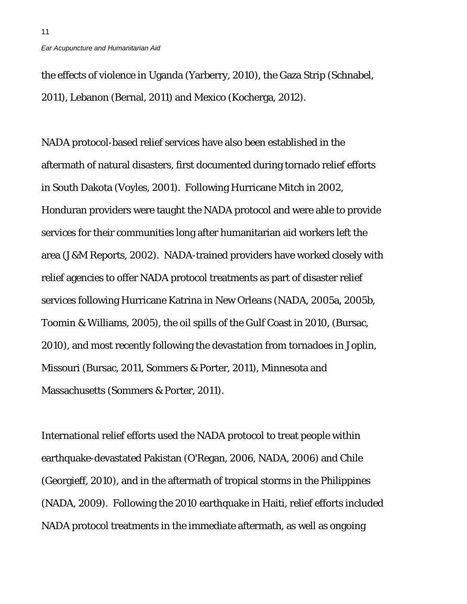the effects of violence in Uganda (Yarberry, 2010), the Gaza Strip (Schnabel, 2011), Lebanon (Bernal, 2011) and Mexico (Kocherga, 2012).

NADA protocol-based relief services have also been established in the aftermath of natural disasters, first documented during tornado relief efforts in South Dakota (Voyles, 2001). Following Hurricane Mitch in 2002, Honduran providers were taught the NADA protocol and were able to provide services for their communities long after humanitarian aid workers left the area (J&M Reports, 2002). NADA-trained providers have worked closely with relief agencies to offer NADA protocol treatments as part of disaster relief services following Hurricane Katrina in New Orleans (NADA, 2005a, 2005b, Toomin & Williams, 2005), the oil spills of the Gulf Coast in 2010, (Bursac, 2010), and most recently following the devastation from tornadoes in Joplin, Missouri (Bursac, 2011, Sommers & Porter, 2011), Minnesota and Massachusetts (Sommers & Porter, 2011).

International relief efforts used the NADA protocol to treat people within earthquake-devastated Pakistan (O'Regan, 2006, NADA, 2006) and Chile (Georgieff, 2010), and in the aftermath of tropical storms in the Philippines (NADA, 2009). Following the 2010 earthquake in Haiti, relief efforts included NADA protocol treatments in the immediate aftermath, as well as ongoing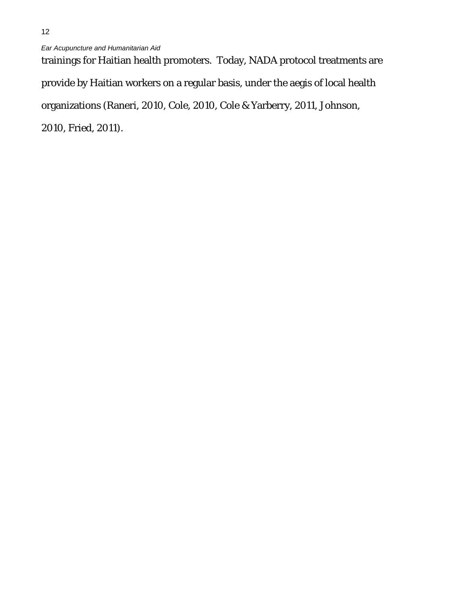trainings for Haitian health promoters. Today, NADA protocol treatments are provide by Haitian workers on a regular basis, under the aegis of local health organizations (Raneri, 2010, Cole, 2010, Cole & Yarberry, 2011, Johnson, 2010, Fried, 2011).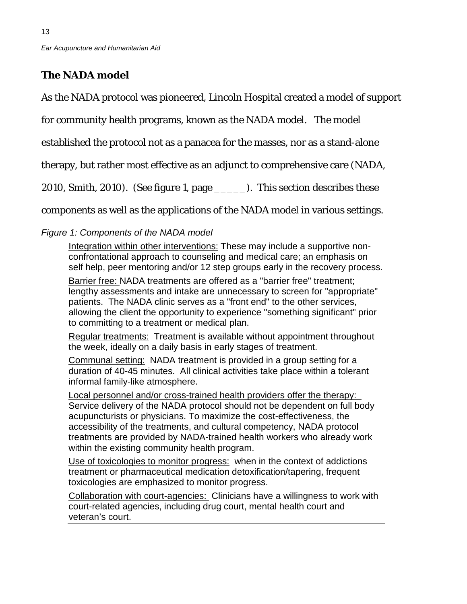# **The NADA model**

13

As the NADA protocol was pioneered, Lincoln Hospital created a model of support

for community health programs, known as the NADA model. The model

established the protocol not as a panacea for the masses, nor as a stand-alone

therapy, but rather most effective as an adjunct to comprehensive care (NADA,

2010, Smith, 2010). (See figure 1, page \_\_\_\_\_). This section describes these

components as well as the applications of the NADA model in various settings.

## *Figure 1: Components of the NADA model*

Integration within other interventions: These may include a supportive nonconfrontational approach to counseling and medical care; an emphasis on self help, peer mentoring and/or 12 step groups early in the recovery process.

Barrier free: NADA treatments are offered as a "barrier free" treatment; lengthy assessments and intake are unnecessary to screen for "appropriate" patients. The NADA clinic serves as a "front end" to the other services, allowing the client the opportunity to experience "something significant" prior to committing to a treatment or medical plan.

Regular treatments: Treatment is available without appointment throughout the week, ideally on a daily basis in early stages of treatment.

Communal setting: NADA treatment is provided in a group setting for a duration of 40-45 minutes. All clinical activities take place within a tolerant informal family-like atmosphere.

Local personnel and/or cross-trained health providers offer the therapy: Service delivery of the NADA protocol should not be dependent on full body acupuncturists or physicians. To maximize the cost-effectiveness, the accessibility of the treatments, and cultural competency, NADA protocol treatments are provided by NADA-trained health workers who already work within the existing community health program.

Use of toxicologies to monitor progress: when in the context of addictions treatment or pharmaceutical medication detoxification/tapering, frequent toxicologies are emphasized to monitor progress.

Collaboration with court-agencies: Clinicians have a willingness to work with court-related agencies, including drug court, mental health court and veteran's court.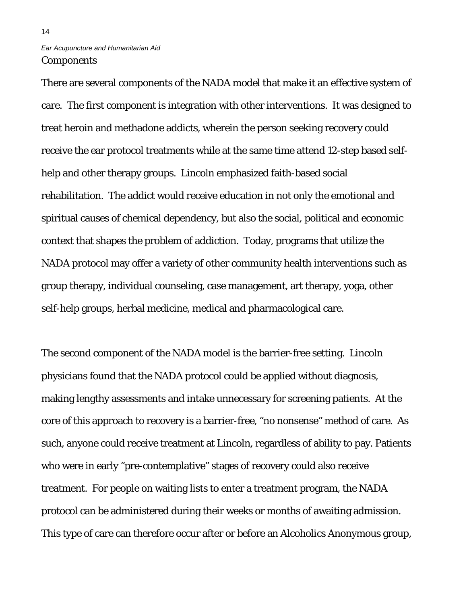## *Ear Acupuncture and Humanitarian Aid Components*

There are several components of the NADA model that make it an effective system of care. The first component is integration with other interventions. It was designed to treat heroin and methadone addicts, wherein the person seeking recovery could receive the ear protocol treatments while at the same time attend 12-step based selfhelp and other therapy groups. Lincoln emphasized faith-based social rehabilitation. The addict would receive education in not only the emotional and spiritual causes of chemical dependency, but also the social, political and economic context that shapes the problem of addiction. Today, programs that utilize the NADA protocol may offer a variety of other community health interventions such as group therapy, individual counseling, case management, art therapy, yoga, other self-help groups, herbal medicine, medical and pharmacological care.

The second component of the NADA model is the barrier-free setting. Lincoln physicians found that the NADA protocol could be applied without diagnosis, making lengthy assessments and intake unnecessary for screening patients. At the core of this approach to recovery is a barrier-free, "no nonsense" method of care. As such, anyone could receive treatment at Lincoln, regardless of ability to pay. Patients who were in early "pre-contemplative" stages of recovery could also receive treatment. For people on waiting lists to enter a treatment program, the NADA protocol can be administered during their weeks or months of awaiting admission. This type of care can therefore occur after or before an Alcoholics Anonymous group,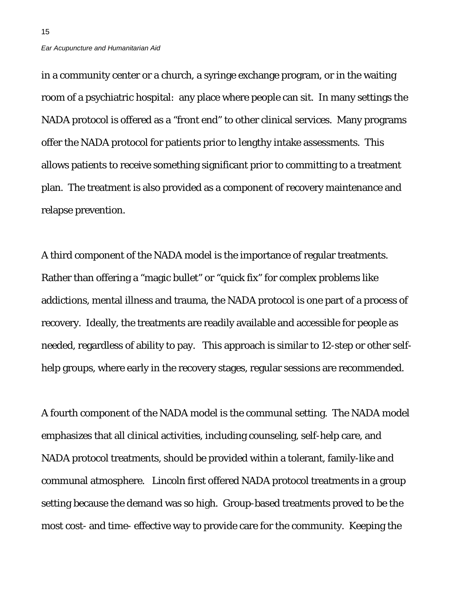in a community center or a church, a syringe exchange program, or in the waiting room of a psychiatric hospital: any place where people can sit. In many settings the NADA protocol is offered as a "front end" to other clinical services. Many programs offer the NADA protocol for patients prior to lengthy intake assessments. This allows patients to receive something significant prior to committing to a treatment plan. The treatment is also provided as a component of recovery maintenance and relapse prevention.

A third component of the NADA model is the importance of regular treatments. Rather than offering a "magic bullet" or "quick fix" for complex problems like addictions, mental illness and trauma, the NADA protocol is one part of a process of recovery. Ideally, the treatments are readily available and accessible for people as needed, regardless of ability to pay. This approach is similar to 12-step or other selfhelp groups, where early in the recovery stages, regular sessions are recommended.

A fourth component of the NADA model is the communal setting. The NADA model emphasizes that all clinical activities, including counseling, self-help care, and NADA protocol treatments, should be provided within a tolerant, family-like and communal atmosphere. Lincoln first offered NADA protocol treatments in a group setting because the demand was so high. Group-based treatments proved to be the most cost- and time- effective way to provide care for the community. Keeping the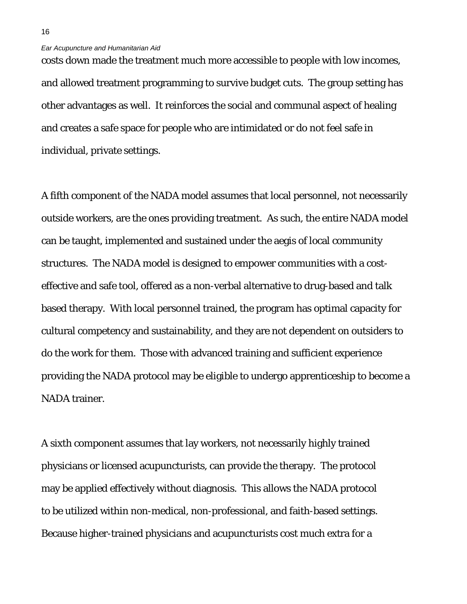costs down made the treatment much more accessible to people with low incomes, and allowed treatment programming to survive budget cuts. The group setting has other advantages as well. It reinforces the social and communal aspect of healing and creates a safe space for people who are intimidated or do not feel safe in individual, private settings.

A fifth component of the NADA model assumes that local personnel, not necessarily outside workers, are the ones providing treatment. As such, the entire NADA model can be taught, implemented and sustained under the aegis of local community structures. The NADA model is designed to empower communities with a costeffective and safe tool, offered as a non-verbal alternative to drug-based and talk based therapy. With local personnel trained, the program has optimal capacity for cultural competency and sustainability, and they are not dependent on outsiders to do the work for them. Those with advanced training and sufficient experience providing the NADA protocol may be eligible to undergo apprenticeship to become a NADA trainer.

A sixth component assumes that lay workers, not necessarily highly trained physicians or licensed acupuncturists, can provide the therapy. The protocol may be applied effectively without diagnosis. This allows the NADA protocol to be utilized within non-medical, non-professional, and faith-based settings. Because higher-trained physicians and acupuncturists cost much extra for a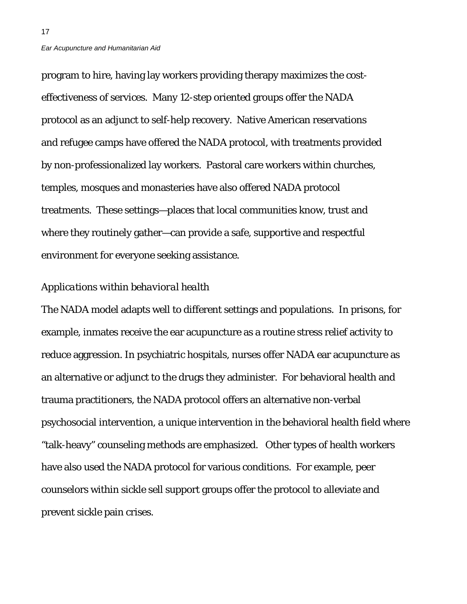program to hire, having lay workers providing therapy maximizes the costeffectiveness of services. Many 12-step oriented groups offer the NADA protocol as an adjunct to self-help recovery. Native American reservations and refugee camps have offered the NADA protocol, with treatments provided by non-professionalized lay workers. Pastoral care workers within churches, temples, mosques and monasteries have also offered NADA protocol treatments. These settings—places that local communities know, trust and where they routinely gather—can provide a safe, supportive and respectful environment for everyone seeking assistance.

### *Applications within behavioral health*

The NADA model adapts well to different settings and populations. In prisons, for example, inmates receive the ear acupuncture as a routine stress relief activity to reduce aggression. In psychiatric hospitals, nurses offer NADA ear acupuncture as an alternative or adjunct to the drugs they administer. For behavioral health and trauma practitioners, the NADA protocol offers an alternative non-verbal psychosocial intervention, a unique intervention in the behavioral health field where "talk-heavy" counseling methods are emphasized. Other types of health workers have also used the NADA protocol for various conditions. For example, peer counselors within sickle sell support groups offer the protocol to alleviate and prevent sickle pain crises.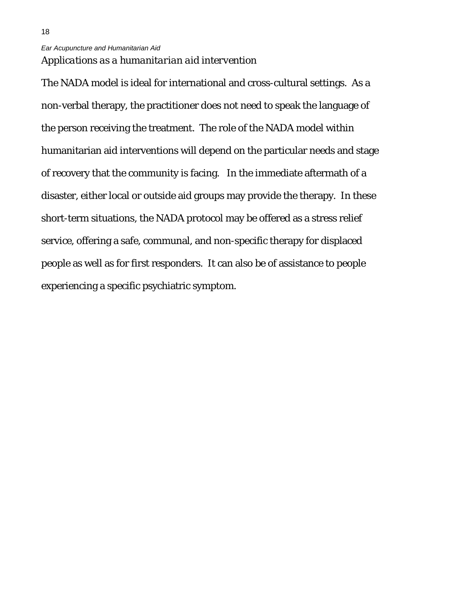18

The NADA model is ideal for international and cross-cultural settings. As a non-verbal therapy, the practitioner does not need to speak the language of the person receiving the treatment. The role of the NADA model within humanitarian aid interventions will depend on the particular needs and stage of recovery that the community is facing. In the immediate aftermath of a disaster, either local or outside aid groups may provide the therapy. In these short-term situations, the NADA protocol may be offered as a stress relief service, offering a safe, communal, and non-specific therapy for displaced people as well as for first responders. It can also be of assistance to people experiencing a specific psychiatric symptom.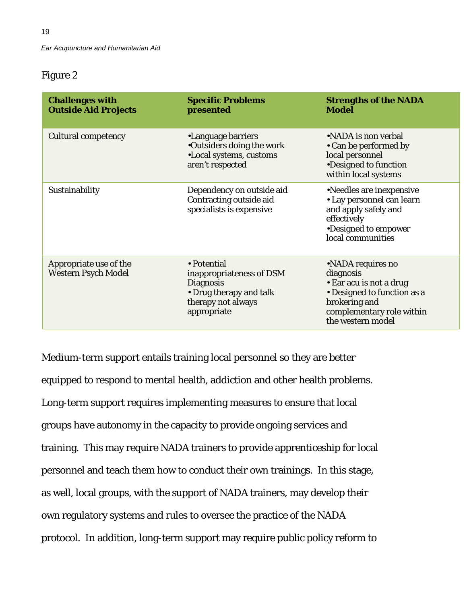## Figure 2

| <b>Challenges with</b><br><b>Outside Aid Projects</b> | <b>Specific Problems</b><br>presented                                                                                       | <b>Strengths of the NADA</b><br><b>Model</b>                                                                                                                |
|-------------------------------------------------------|-----------------------------------------------------------------------------------------------------------------------------|-------------------------------------------------------------------------------------------------------------------------------------------------------------|
| <b>Cultural competency</b>                            | •Language barriers<br>•Outsiders doing the work<br>•Local systems, customs<br>aren't respected                              | •NADA is non verbal<br>• Can be performed by<br>local personnel<br>•Designed to function<br>within local systems                                            |
| Sustainability                                        | Dependency on outside aid<br>Contracting outside aid<br>specialists is expensive                                            | •Needles are inexpensive<br>• Lay personnel can learn<br>and apply safely and<br>effectively<br>•Designed to empower<br>local communities                   |
| Appropriate use of the<br><b>Western Psych Model</b>  | • Potential<br>inappropriateness of DSM<br><b>Diagnosis</b><br>• Drug therapy and talk<br>therapy not always<br>appropriate | •NADA requires no<br>diagnosis<br>• Ear acu is not a drug<br>• Designed to function as a<br>brokering and<br>complementary role within<br>the western model |

Medium-term support entails training local personnel so they are better equipped to respond to mental health, addiction and other health problems. Long-term support requires implementing measures to ensure that local groups have autonomy in the capacity to provide ongoing services and training. This may require NADA trainers to provide apprenticeship for local personnel and teach them how to conduct their own trainings. In this stage, as well, local groups, with the support of NADA trainers, may develop their own regulatory systems and rules to oversee the practice of the NADA protocol. In addition, long-term support may require public policy reform to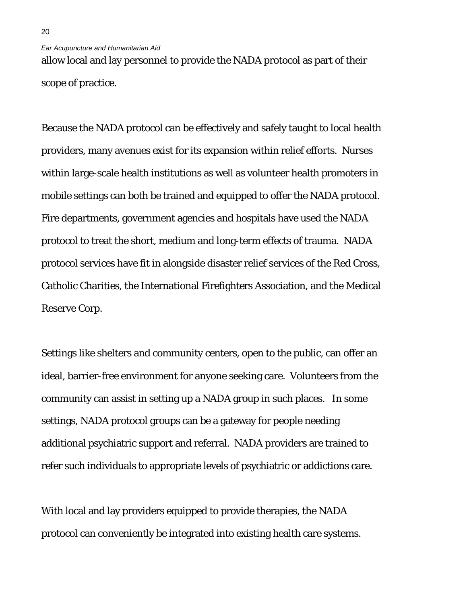allow local and lay personnel to provide the NADA protocol as part of their scope of practice.

Because the NADA protocol can be effectively and safely taught to local health providers, many avenues exist for its expansion within relief efforts. Nurses within large-scale health institutions as well as volunteer health promoters in mobile settings can both be trained and equipped to offer the NADA protocol. Fire departments, government agencies and hospitals have used the NADA protocol to treat the short, medium and long-term effects of trauma. NADA protocol services have fit in alongside disaster relief services of the Red Cross, Catholic Charities, the International Firefighters Association, and the Medical Reserve Corp.

Settings like shelters and community centers, open to the public, can offer an ideal, barrier-free environment for anyone seeking care. Volunteers from the community can assist in setting up a NADA group in such places. In some settings, NADA protocol groups can be a gateway for people needing additional psychiatric support and referral. NADA providers are trained to refer such individuals to appropriate levels of psychiatric or addictions care.

With local and lay providers equipped to provide therapies, the NADA protocol can conveniently be integrated into existing health care systems.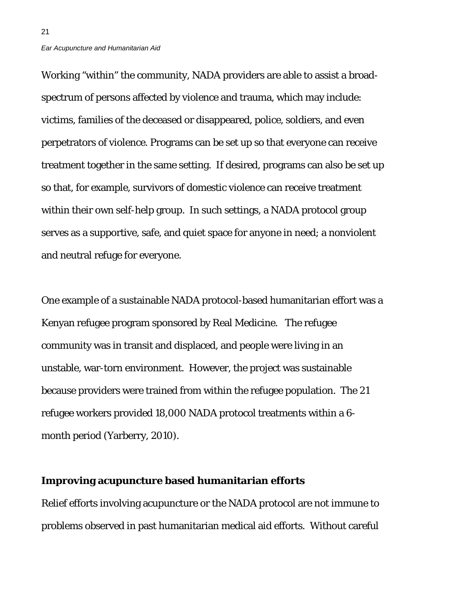21

Working "within" the community, NADA providers are able to assist a broadspectrum of persons affected by violence and trauma, which may include: victims, families of the deceased or disappeared, police, soldiers, and even perpetrators of violence. Programs can be set up so that everyone can receive treatment together in the same setting. If desired, programs can also be set up so that, for example, survivors of domestic violence can receive treatment within their own self-help group. In such settings, a NADA protocol group serves as a supportive, safe, and quiet space for anyone in need; a nonviolent and neutral refuge for everyone.

One example of a sustainable NADA protocol-based humanitarian effort was a Kenyan refugee program sponsored by Real Medicine. The refugee community was in transit and displaced, and people were living in an unstable, war-torn environment. However, the project was sustainable because providers were trained from within the refugee population. The 21 refugee workers provided 18,000 NADA protocol treatments within a 6 month period (Yarberry, 2010).

### **Improving acupuncture based humanitarian efforts**

Relief efforts involving acupuncture or the NADA protocol are not immune to problems observed in past humanitarian medical aid efforts. Without careful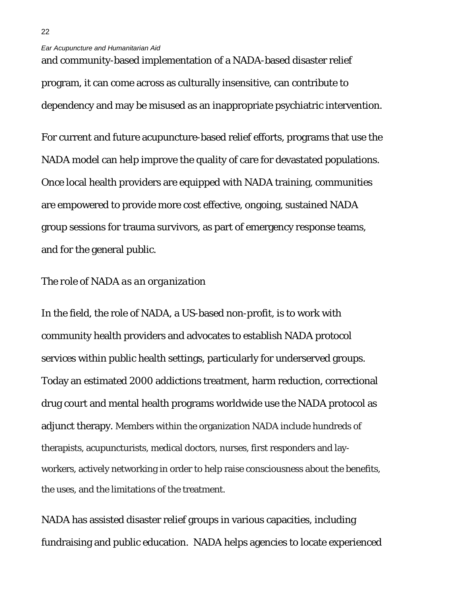and community-based implementation of a NADA-based disaster relief program, it can come across as culturally insensitive, can contribute to dependency and may be misused as an inappropriate psychiatric intervention.

For current and future acupuncture-based relief efforts, programs that use the NADA model can help improve the quality of care for devastated populations. Once local health providers are equipped with NADA training, communities are empowered to provide more cost effective, ongoing, sustained NADA group sessions for trauma survivors, as part of emergency response teams, and for the general public.

### *The role of NADA as an organization*

In the field, the role of NADA, a US-based non-profit, is to work with community health providers and advocates to establish NADA protocol services within public health settings, particularly for underserved groups. Today an estimated 2000 addictions treatment, harm reduction, correctional drug court and mental health programs worldwide use the NADA protocol as adjunct therapy. Members within the organization NADA include hundreds of therapists, acupuncturists, medical doctors, nurses, first responders and layworkers, actively networking in order to help raise consciousness about the benefits, the uses, and the limitations of the treatment.

NADA has assisted disaster relief groups in various capacities, including fundraising and public education. NADA helps agencies to locate experienced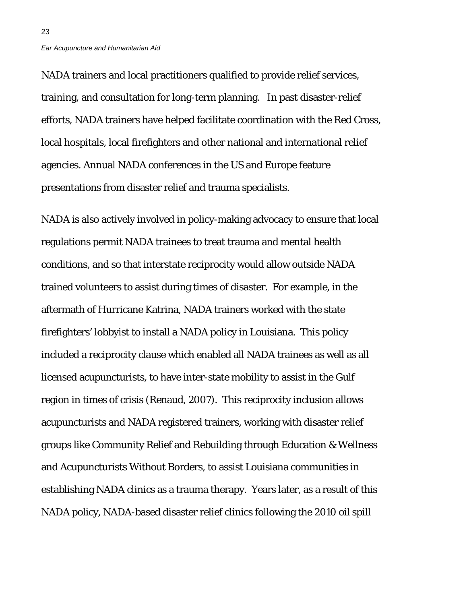23

NADA trainers and local practitioners qualified to provide relief services, training, and consultation for long-term planning. In past disaster-relief efforts, NADA trainers have helped facilitate coordination with the Red Cross, local hospitals, local firefighters and other national and international relief agencies. Annual NADA conferences in the US and Europe feature presentations from disaster relief and trauma specialists.

NADA is also actively involved in policy-making advocacy to ensure that local regulations permit NADA trainees to treat trauma and mental health conditions, and so that interstate reciprocity would allow outside NADA trained volunteers to assist during times of disaster. For example, in the aftermath of Hurricane Katrina, NADA trainers worked with the state firefighters' lobbyist to install a NADA policy in Louisiana. This policy included a reciprocity clause which enabled all NADA trainees as well as all licensed acupuncturists, to have inter-state mobility to assist in the Gulf region in times of crisis (Renaud, 2007). This reciprocity inclusion allows acupuncturists and NADA registered trainers, working with disaster relief groups like Community Relief and Rebuilding through Education & Wellness and Acupuncturists Without Borders, to assist Louisiana communities in establishing NADA clinics as a trauma therapy. Years later, as a result of this NADA policy, NADA-based disaster relief clinics following the 2010 oil spill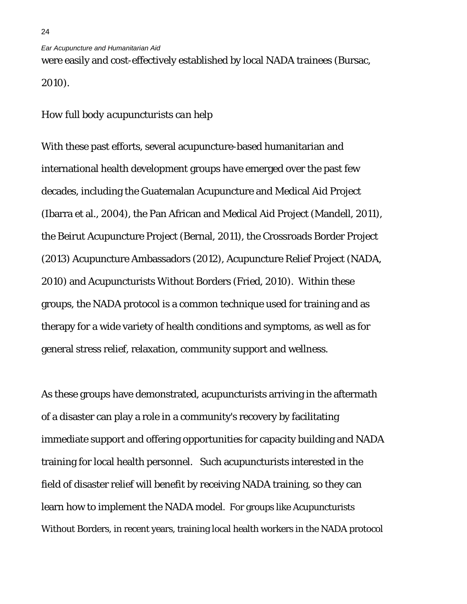were easily and cost-effectively established by local NADA trainees (Bursac, 2010).

### *How full body acupuncturists can help*

With these past efforts, several acupuncture-based humanitarian and international health development groups have emerged over the past few decades, including the Guatemalan Acupuncture and Medical Aid Project (Ibarra et al., 2004), the Pan African and Medical Aid Project (Mandell, 2011), the Beirut Acupuncture Project (Bernal, 2011), the Crossroads Border Project (2013) Acupuncture Ambassadors (2012), Acupuncture Relief Project (NADA, 2010) and Acupuncturists Without Borders (Fried, 2010). Within these groups, the NADA protocol is a common technique used for training and as therapy for a wide variety of health conditions and symptoms, as well as for general stress relief, relaxation, community support and wellness.

As these groups have demonstrated, acupuncturists arriving in the aftermath of a disaster can play a role in a community's recovery by facilitating immediate support and offering opportunities for capacity building and NADA training for local health personnel. Such acupuncturists interested in the field of disaster relief will benefit by receiving NADA training, so they can learn how to implement the NADA model. For groups like Acupuncturists Without Borders, in recent years, training local health workers in the NADA protocol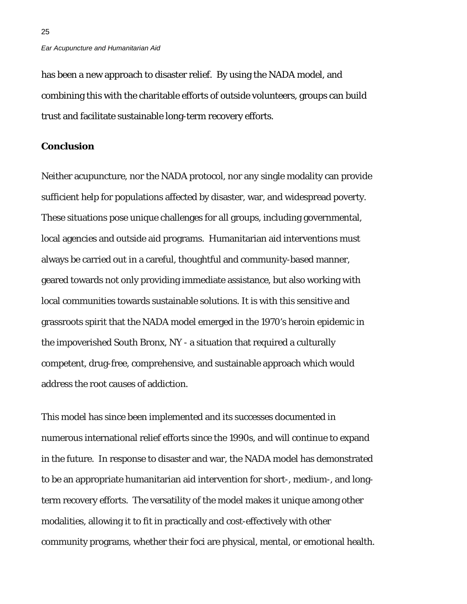has been a new approach to disaster relief. By using the NADA model, and combining this with the charitable efforts of outside volunteers, groups can build trust and facilitate sustainable long-term recovery efforts.

### **Conclusion**

25

Neither acupuncture, nor the NADA protocol, nor any single modality can provide sufficient help for populations affected by disaster, war, and widespread poverty. These situations pose unique challenges for all groups, including governmental, local agencies and outside aid programs. Humanitarian aid interventions must always be carried out in a careful, thoughtful and community-based manner, geared towards not only providing immediate assistance, but also working with local communities towards sustainable solutions. It is with this sensitive and grassroots spirit that the NADA model emerged in the 1970's heroin epidemic in the impoverished South Bronx, NY - a situation that required a culturally competent, drug-free, comprehensive, and sustainable approach which would address the root causes of addiction.

This model has since been implemented and its successes documented in numerous international relief efforts since the 1990s, and will continue to expand in the future. In response to disaster and war, the NADA model has demonstrated to be an appropriate humanitarian aid intervention for short-, medium-, and longterm recovery efforts. The versatility of the model makes it unique among other modalities, allowing it to fit in practically and cost-effectively with other community programs, whether their foci are physical, mental, or emotional health.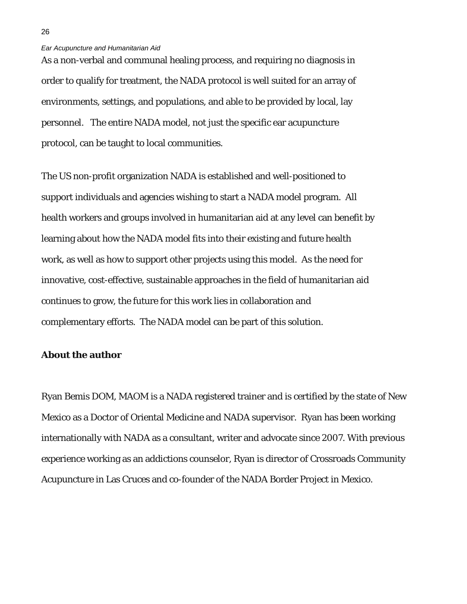As a non-verbal and communal healing process, and requiring no diagnosis in order to qualify for treatment, the NADA protocol is well suited for an array of environments, settings, and populations, and able to be provided by local, lay personnel. The entire NADA model, not just the specific ear acupuncture protocol, can be taught to local communities.

The US non-profit organization NADA is established and well-positioned to support individuals and agencies wishing to start a NADA model program. All health workers and groups involved in humanitarian aid at any level can benefit by learning about how the NADA model fits into their existing and future health work, as well as how to support other projects using this model. As the need for innovative, cost-effective, sustainable approaches in the field of humanitarian aid continues to grow, the future for this work lies in collaboration and complementary efforts. The NADA model can be part of this solution.

### **About the author**

Ryan Bemis DOM, MAOM is a NADA registered trainer and is certified by the state of New Mexico as a Doctor of Oriental Medicine and NADA supervisor. Ryan has been working internationally with NADA as a consultant, writer and advocate since 2007. With previous experience working as an addictions counselor, Ryan is director of Crossroads Community Acupuncture in Las Cruces and co-founder of the NADA Border Project in Mexico.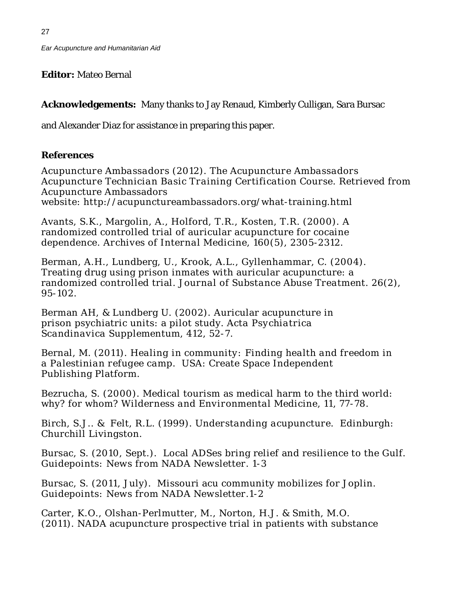**Editor:** Mateo Bernal

**Acknowledgements:** Many thanks to Jay Renaud, Kimberly Culligan, Sara Bursac

and Alexander Diaz for assistance in preparing this paper.

## **References**

*Acupuncture Ambassadors* (2012). *The Acupuncture Ambassadors Acupuncture Technician Basic Training Certification Course*. Retrieved from Acupuncture Ambassadors website: [http://acupunctureambassadors.org/what-t](http://acupunctureambassadors.org/what-)raining.html

Avants, S.K., Margolin, A., Holford, T.R., Kosten, T.R. (2000). A randomized controlled trial of auricular acupuncture for cocaine dependence. *Archives of Internal Medicine*, 160(5), 2305-2312.

Berman, A.H., Lundberg, U., Krook, A.L., Gyllenhammar, C. (2004). Treating drug using prison inmates with auricular acupuncture: a randomized controlled trial. *Journal of Substance Abuse Treatment.* 26(2), 95-102.

Berman AH, & Lundberg U. (2002). Auricular acupuncture in prison psychiatric units: a pilot study. *Acta Psychiatrica Scandinavica Supplementum*, 412, 52-7.

Bernal, M. (2011). *Healing in community: Finding health and freedom in a Palestinian refugee camp.* USA: Create Space Independent Publishing Platform.

Bezrucha, S. (2000). Medical tourism as medical harm to the third world: why? for whom? *Wilderness and Environmental Medicine*, 11, 77-78.

Birch, S.J.. & Felt, R.L. (1999). *Understanding acupuncture*. Edinburgh: Churchill Livingston.

Bursac, S. (2010, Sept.). Local ADSes bring relief and resilience to the Gulf. *Guidepoints: News from NADA Newsletter.* 1-3

Bursac, S. (2011, July). Missouri acu community mobilizes for Joplin. *Guidepoints: News from NADA Newsletter.*1-2

Carter, K.O., Olshan-Perlmutter, M., Norton, H.J. & Smith, M.O. (2011). NADA acupuncture prospective trial in patients with substance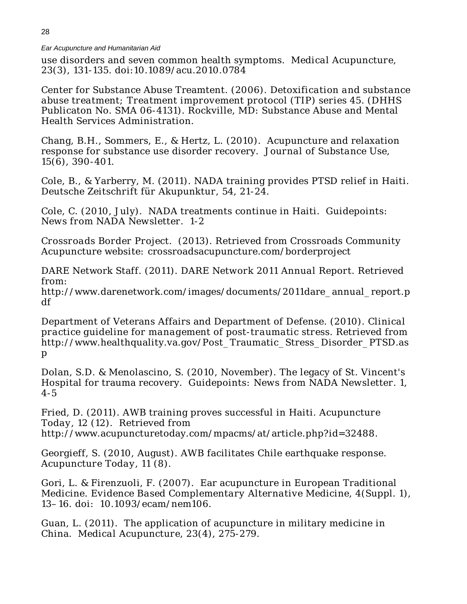use disorders and seven common health symptoms. *Medical Acupuncture,* 23(3), 131-135. doi:10.1089/acu.2010.0784

Center for Substance Abuse Treamtent. (2006). *Detoxification and substance abuse treatment; Treatment improvement protocol (TIP) series 45.* (DHHS Publicaton No. SMA 06-4131). Rockville, MD: Substance Abuse and Mental Health Services Administration.

Chang, B.H., Sommers, E., & Hertz, L. (2010). Acupuncture and relaxation response for substance use disorder recovery. *Journal of Substance Use*, 15(6), 390-401.

Cole, B., & Yarberry, M. (2011). NADA training provides PTSD relief in Haiti. *Deutsche Zeitschrift für Akupunktur,* 54, 21-24.

Cole, C. (2010, July). NADA treatments continue in Haiti. *Guidepoints: News from NADA Newsletter.* 1-2

*Crossroads Border Project.* (2013). Retrieved from Crossroads Community Acupuncture website*:* crossroadsacupuncture.com/borderproject

DARE Network Staff. (2011). *DARE Network 2011 Annual Report*. Retrieved from:

[http://www.darenetwork.com/images/d](http://www.darenetwork.com/images/)ocuments/2011dare\_annual\_report.p df

Department of Veterans Affairs and Department of Defense. (2010). *Clinical practice guideline for management of post-traumatic stress.* Retrieved from [http://www.healthquality.va.gov/Post\\_Traumatic\\_Stress\\_Disorder\\_PTSD.as](http://www.healthquality.va.gov/Post_Traumatic_Stress_Disorder_PTSD.asp) [p](http://www.healthquality.va.gov/Post_Traumatic_Stress_Disorder_PTSD.asp)

Dolan, S.D. & Menolascino, S. (2010, November). The legacy of St. Vincent's Hospital for trauma recovery. *Guidepoints: News from NADA Newsletter.* 1, 4-5

Fried, D. (2011). AWB training proves successful in Haiti. *Acupuncture Today, 1*2 (12). Retrieved from [http://www.acupuncturetoday.com/mpacms/at/article.php?id=32488.](http://www.acupuncturetoday.com/mpacms/at/article.php?id=32488)

Georgieff, S. (2010, August). AWB facilitates Chile earthquake response. *Acupuncture Today*, 11 (8).

Gori, L. & Firenzuoli, F. (2007). Ear acupuncture in European Traditional Medicine. *Evidence Based Complementary Alternative Medicine*, 4(Suppl. 1), 13–16. doi: [10.1093/ecam/nem106.](http://dx.doi.org/10.1093%2Fecam%2Fnem106)

Guan, L. (2011). The application of acupuncture in military medicine in China. *Medical Acupuncture,* 23(4), 275-279.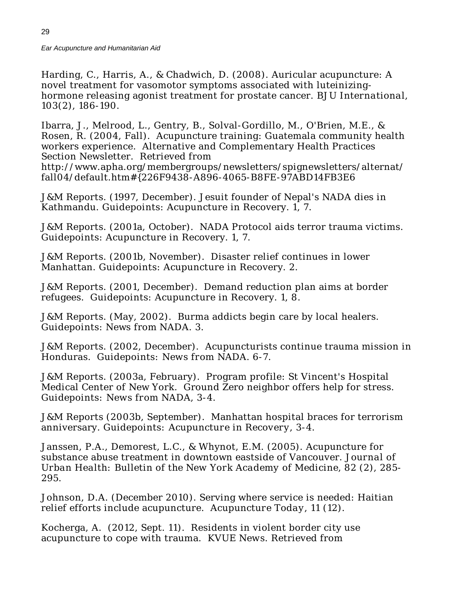Harding, C., Harris, A., & Chadwich, D. (2008). Auricular acupuncture: A novel treatment for vasomotor symptoms associated with luteinizinghormone releasing agonist treatment for prostate cancer. *BJU International,* 103(2), 186-190.

Ibarra, J., Melrood, L., Gentry, B., Solval-Gordillo, M., O'Brien, M.E., & Rosen, R. (2004, Fall). Acupuncture training: Guatemala community health workers experience. Alternative and Complementary Health Practices Section Newsletter. Retrieved from [http://www.apha.org/membergroups/newsletters/spignewsletters/alternat/](http://www.apha.org/membergroups/newsletters/spignewsletters/alternat/%20f%20%20%20%20%20%20%250D%20%20%20%20%20%20%20%20%20%20%20%20all04/default.htm#%7B226F9438-A896-4065-B8FE-97ABD14FB3E6)  [fall04/default.htm#{226F9438-A896-4065-B8FE-97ABD14FB3E6](http://www.apha.org/membergroups/newsletters/spignewsletters/alternat/%20f%20%20%20%20%20%20%250D%20%20%20%20%20%20%20%20%20%20%20%20all04/default.htm#%7B226F9438-A896-4065-B8FE-97ABD14FB3E6)

J&M Reports. (1997, December). Jesuit founder of Nepal's NADA dies in Kathmandu. Guidepoints: Acupuncture in Recovery. 1, 7.

J&M Reports. (2001a, October). NADA Protocol aids terror trauma victims. Guidepoints: Acupuncture in Recovery. 1, 7.

J&M Reports. (2001b, November). Disaster relief continues in lower Manhattan. Guidepoints: Acupuncture in Recovery. 2.

J&M Reports. (2001, December). Demand reduction plan aims at border refugees. Guidepoints: Acupuncture in Recovery. 1, 8.

J&M Reports. (May, 2002). Burma addicts begin care by local healers. Guidepoints: News from NADA. 3.

J&M Reports. (2002, December). Acupuncturists continue trauma mission in Honduras. *Guidepoints: News from NADA*. 6-7.

J&M Reports. (2003a, February). Program profile: St Vincent's Hospital Medical Center of New York. Ground Zero neighbor offers help for stress. *Guidepoints: News from NADA*, 3-4.

J&M Reports (2003b, September). Manhattan hospital braces for terrorism anniversary. *Guidepoints: Acupuncture in Recovery*, 3-4.

Janssen, P.A., Demorest, L.C., & Whynot, E.M. (2005). Acupuncture for substance abuse treatment in downtown eastside of Vancouver. *Journal of Urban Health: Bulletin of the New York Academy of Medicine,* 82 (2), 285- 295.

Johnson, D.A. (December 2010). Serving where service is needed: Haitian relief efforts include acupuncture*. Acupuncture Today*, 11 (12).

Kocherga, A. (2012, Sept. 11). Residents in violent border city use acupuncture to cope with trauma. *KVUE News.* Retrieved from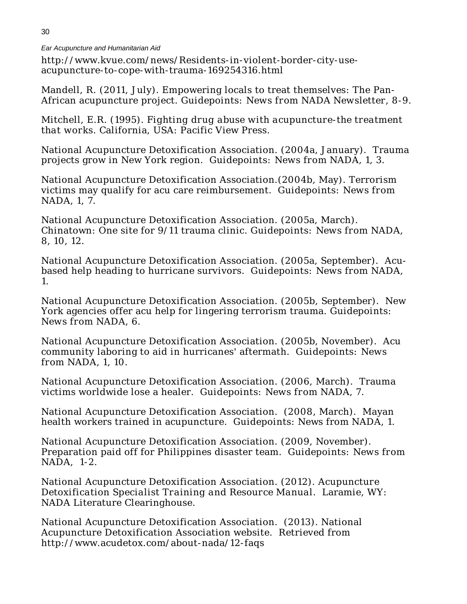[http://www.kvue.com/news/Residents-in-violent-border-city-use](http://www.kvue.com/news/Residents-in-violent-border-city-use-acupuncture-to-cope-with-trauma-169254316.html)[acupuncture-to-cope-with-trauma-169254316.html](http://www.kvue.com/news/Residents-in-violent-border-city-use-acupuncture-to-cope-with-trauma-169254316.html)

Mandell, R. (2011, July). Empowering locals to treat themselves: The Pan-African acupuncture project. *Guidepoints: News from NADA Newsletter,* 8-9.

Mitchell, E.R. (1995). *Fighting drug abuse with acupuncture-the treatment that works.* California, USA: Pacific View Press.

National Acupuncture Detoxification Association. (2004a, January). Trauma projects grow in New York region. *Guidepoints: News from NADA*, 1, 3.

National Acupuncture Detoxification Association.(2004b, May). Terrorism victims may qualify for acu care reimbursement. *Guidepoints: News from NADA*, 1, 7.

National Acupuncture Detoxification Association. (2005a, March). Chinatown: One site for 9/11 trauma clinic. *Guidepoints: News from NADA*, 8, 10, 12.

National Acupuncture Detoxification Association. (2005a, September). Acubased help heading to hurricane survivors. *Guidepoints: News from NADA*, 1.

National Acupuncture Detoxification Association. (2005b, September). New York agencies offer acu help for lingering terrorism trauma. *Guidepoints: News from NADA*, 6.

National Acupuncture Detoxification Association. (2005b, November). Acu community laboring to aid in hurricanes' aftermath. *Guidepoints: News from NADA*, 1, 10.

National Acupuncture Detoxification Association. (2006, March). Trauma victims worldwide lose a healer. *Guidepoints: News from NADA*, 7.

National Acupuncture Detoxification Association. (2008, March). Mayan health workers trained in acupuncture. Guidepoints: News from NADA, 1.

National Acupuncture Detoxification Association. (2009, November). Preparation paid off for Philippines disaster team. *Guidepoints: News from NADA*, 1-2.

National Acupuncture Detoxification Association. (2012). *Acupuncture Detoxification Specialist Training and Resource Manual.* Laramie, WY: NADA Literature Clearinghouse.

National Acupuncture Detoxification Association. (2013). National Acupuncture Detoxification Association website. Retrieved from <http://www.acudetox.com/about-nada/12-faqs>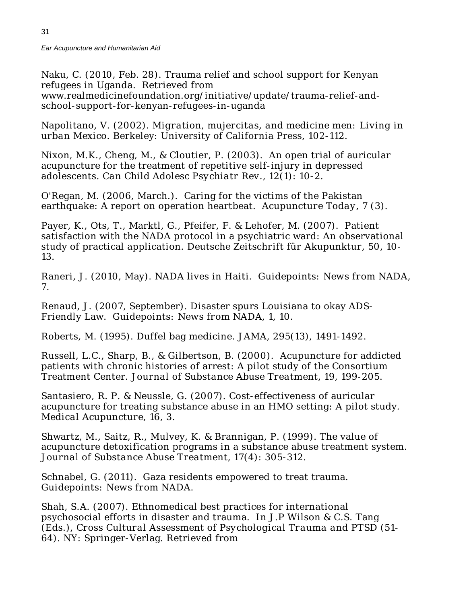Naku, C. (2010, Feb. 28). Trauma relief and school support for Kenyan refugees in Uganda. Retrieved from [www.realmedicinefoundation.org/initiative/update/trauma-relief-and](http://www.realmedicinefoundation.org/initiative/update/trauma-relief-and-school-support-for-kenyan-refugees-in-uganda)[school-support-for-kenyan-refugees-in-uganda](http://www.realmedicinefoundation.org/initiative/update/trauma-relief-and-school-support-for-kenyan-refugees-in-uganda)

Napolitano, V. (2002). *Migration, mujercitas, and medicine men: Living in urban Mexico.* Berkeley: University of California Press, 102-112.

Nixon, M.K., Cheng, M., & Cloutier, P. (2003). An open trial of auricular acupuncture for the treatment of repetitive self-injury in depressed adolescents. *Can Child Adolesc Psychiatr Rev*., 12(1): 10-2.

O'Regan, M. (2006, March.). Caring for the victims of the Pakistan earthquake: A report on operation heartbeat. *Acupuncture Today*, 7 (3).

Payer, K., Ots, T., Marktl, G., Pfeifer, F. & Lehofer, M. (2007). Patient satisfaction with the NADA protocol in a psychiatric ward: An observational study of practical application. *Deutsche Zeitschrift für Akupunktur,* 50, 10- 13.

Raneri, J. (2010, May). NADA lives in Haiti. *Guidepoints: News from NADA,*  7.

Renaud, J. (2007, September). Disaster spurs Louisiana to okay ADS-Friendly Law. *Guidepoints: News from NADA*, 1, 10.

Roberts, M. (1995). Duffel bag medicine. *JAMA*, *295*(13), 1491-1492.

Russell, L.C., Sharp, B., & Gilbertson, B. (2000). Acupuncture for addicted patients with chronic histories of arrest: A pilot study of the Consortium Treatment Center. *Journal of Substance Abuse Treatment*, 19, 199-205.

Santasiero, R. P. & Neussle, G. (2007). Cost-effectiveness of auricular acupuncture for treating substance abuse in an HMO setting: A pilot study. *Medical Acupuncture,* 16, 3.

Shwartz, M., Saitz, R., Mulvey, K. & Brannigan, P. (1999). The value of acupuncture detoxification programs in a substance abuse treatment system. *Journal of Substance Abuse Treatment*, 17(4): 305-312.

Schnabel, G. (2011). Gaza residents empowered to treat trauma. *Guidepoints: News from NADA*.

Shah, S.A. (2007). Ethnomedical best practices for international psychosocial efforts in disaster and trauma. In J.P Wilson & C.S. Tang (Eds.), *Cross Cultural Assessment of Psychological Trauma and PTSD* (51- 64)*.* NY: Springer-Verlag. Retrieved from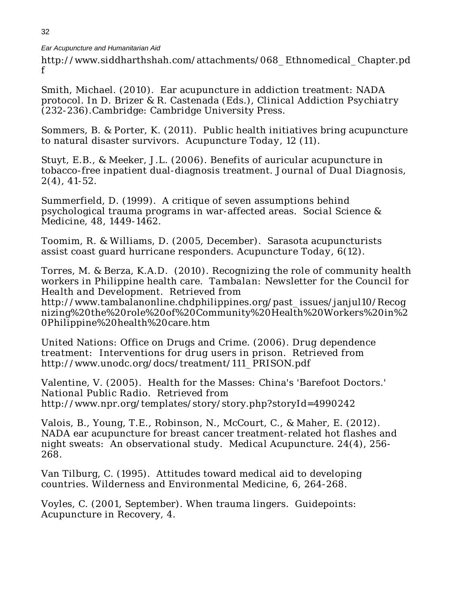[http://www.siddharthshah.com/attachments/068\\_Ethnomedical\\_Chapter.pd](http://www.siddharthshah.com/attachments/068_Ethnomedical_Chapter.pdf) f

Smith, Michael. (2010). Ear acupuncture in addiction treatment: NADA protocol. In D. Brizer & R. Castenada (Eds.), *Clinical Addiction Psychiatry*  (232-236).Cambridge: Cambridge University Press.

Sommers, B. & Porter, K. (2011). Public health initiatives bring acupuncture to natural disaster survivors. *Acupuncture Today,* 12 (11).

Stuyt, E.B., & Meeker, J.L. (2006). Benefits of auricular acupuncture in tobacco-free inpatient dual-diagnosis treatment. *Journal of Dual Diagnosis*, 2(4), 41-52.

Summerfield, D. (1999). A critique of seven assumptions behind psychological trauma programs in war-affected areas. *Social Science & Medicine,* 48, 1449-1462.

Toomim, R. & Williams, D. (2005, December). Sarasota acupuncturists assist coast guard hurricane responders. *Acupuncture Today*, 6(12).

Torres, M. & Berza, K.A.D. (2010). Recognizing the role of community health workers in Philippine health care. *Tambalan: Newsletter for the Council for Health and Development*. Retrieved from [http://www.tambalanonline.chdphilippines.org/past\\_issues/janjul10/Recog](http://www.tambalanonline.chdphilippines.org/past_issues/janjul10/Recognizing%20the%20role%20of%20Community%20Health%20Workers%20in%20Philippine%20health%20care.htm) [nizing%20the%20role%20of%20Community%20Health%20Workers%20in%2](http://www.tambalanonline.chdphilippines.org/past_issues/janjul10/Recognizing%20the%20role%20of%20Community%20Health%20Workers%20in%20Philippine%20health%20care.htm) [0Philippine%20health%20care.htm](http://www.tambalanonline.chdphilippines.org/past_issues/janjul10/Recognizing%20the%20role%20of%20Community%20Health%20Workers%20in%20Philippine%20health%20care.htm)

United Nations: Office on Drugs and Crime. (2006). *Drug dependence treatment: Interventions for drug users in prison.* Retrieved from [http://www.unodc.org/docs/treatment/111\\_PRISON.pdf](http://www.unodc.org/docs/treatment/111_PRISON.pdf)

Valentine, V. (2005). Health for the Masses: China's 'Barefoot Doctors.' *National Public Radio.* Retrieved from <http://www.npr.org/templates/story/story.php?storyId=4990242>

Valois, B., Young, T.E., Robinson, N., McCourt, C., & Maher, E. (2012). NADA ear acupuncture for breast cancer treatment-related hot flashes and night sweats: An observational study. *Medical Acupuncture.* 24(4), 256- 268.

Van Tilburg, C. (1995). Attitudes toward medical aid to developing countries. Wilderness and Environmental Medicine, 6, 264-268.

Voyles, C. (2001, September). When trauma lingers. Guidepoints: Acupuncture in Recovery, 4.